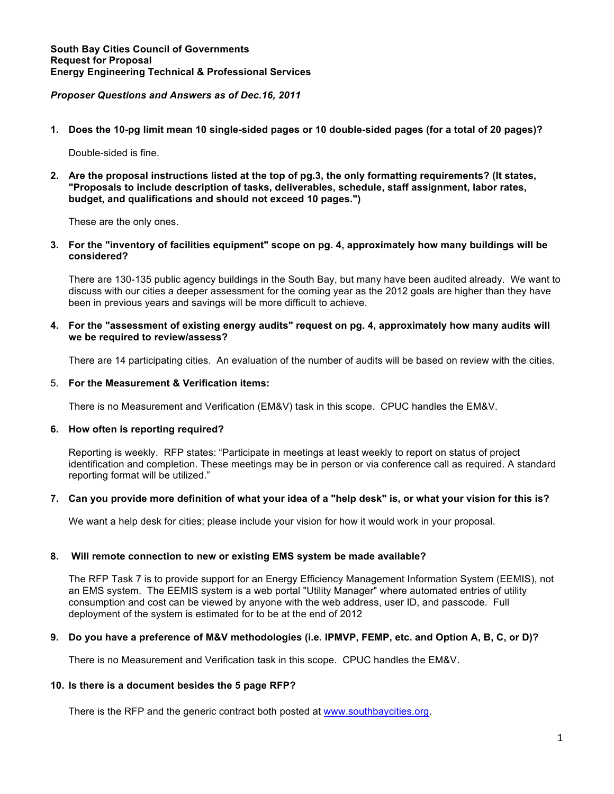# *Proposer Questions and Answers as of Dec.16, 2011*

**1. Does the 10-pg limit mean 10 single-sided pages or 10 double-sided pages (for a total of 20 pages)?** 

Double-sided is fine.

**2. Are the proposal instructions listed at the top of pg.3, the only formatting requirements? (It states, "Proposals to include description of tasks, deliverables, schedule, staff assignment, labor rates, budget, and qualifications and should not exceed 10 pages.")** 

These are the only ones.

**3. For the "inventory of facilities equipment" scope on pg. 4, approximately how many buildings will be considered?** 

There are 130-135 public agency buildings in the South Bay, but many have been audited already. We want to discuss with our cities a deeper assessment for the coming year as the 2012 goals are higher than they have been in previous years and savings will be more difficult to achieve.

**4. For the "assessment of existing energy audits" request on pg. 4, approximately how many audits will we be required to review/assess?**

There are 14 participating cities. An evaluation of the number of audits will be based on review with the cities.

# 5. **For the Measurement & Verification items:**

There is no Measurement and Verification (EM&V) task in this scope. CPUC handles the EM&V.

### **6. How often is reporting required?**

Reporting is weekly. RFP states: "Participate in meetings at least weekly to report on status of project identification and completion. These meetings may be in person or via conference call as required. A standard reporting format will be utilized."

### **7. Can you provide more definition of what your idea of a "help desk" is, or what your vision for this is?**

We want a help desk for cities; please include your vision for how it would work in your proposal.

### **8. Will remote connection to new or existing EMS system be made available?**

The RFP Task 7 is to provide support for an Energy Efficiency Management Information System (EEMIS), not an EMS system. The EEMIS system is a web portal "Utility Manager" where automated entries of utility consumption and cost can be viewed by anyone with the web address, user ID, and passcode. Full deployment of the system is estimated for to be at the end of 2012

### **9. Do you have a preference of M&V methodologies (i.e. IPMVP, FEMP, etc. and Option A, B, C, or D)?**

There is no Measurement and Verification task in this scope. CPUC handles the EM&V.

### **10. Is there is a document besides the 5 page RFP?**

There is the RFP and the generic contract both posted at www.southbaycities.org.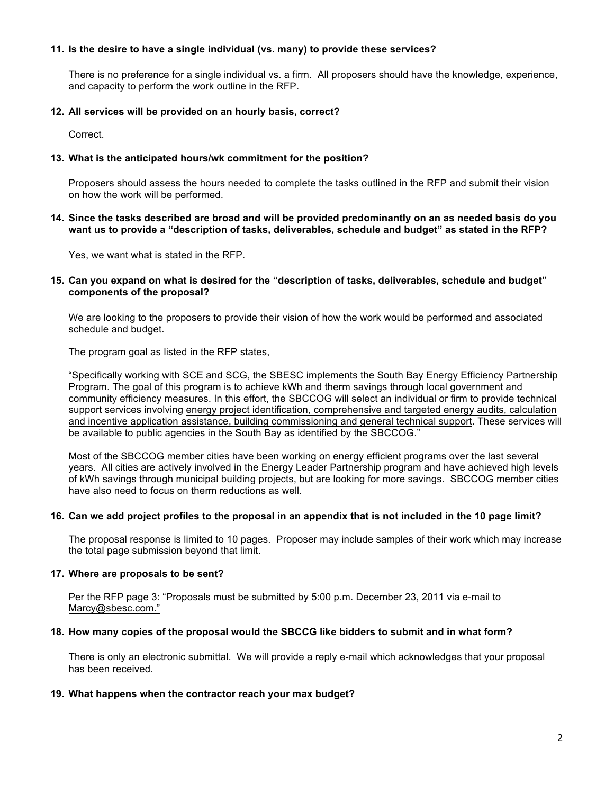### **11. Is the desire to have a single individual (vs. many) to provide these services?**

There is no preference for a single individual vs. a firm. All proposers should have the knowledge, experience, and capacity to perform the work outline in the RFP.

# **12. All services will be provided on an hourly basis, correct?**

Correct.

# **13. What is the anticipated hours/wk commitment for the position?**

Proposers should assess the hours needed to complete the tasks outlined in the RFP and submit their vision on how the work will be performed.

# **14. Since the tasks described are broad and will be provided predominantly on an as needed basis do you want us to provide a "description of tasks, deliverables, schedule and budget" as stated in the RFP?**

Yes, we want what is stated in the RFP.

# **15. Can you expand on what is desired for the "description of tasks, deliverables, schedule and budget" components of the proposal?**

We are looking to the proposers to provide their vision of how the work would be performed and associated schedule and budget.

The program goal as listed in the RFP states,

"Specifically working with SCE and SCG, the SBESC implements the South Bay Energy Efficiency Partnership Program. The goal of this program is to achieve kWh and therm savings through local government and community efficiency measures. In this effort, the SBCCOG will select an individual or firm to provide technical support services involving energy project identification, comprehensive and targeted energy audits, calculation and incentive application assistance, building commissioning and general technical support. These services will be available to public agencies in the South Bay as identified by the SBCCOG."

Most of the SBCCOG member cities have been working on energy efficient programs over the last several years. All cities are actively involved in the Energy Leader Partnership program and have achieved high levels of kWh savings through municipal building projects, but are looking for more savings. SBCCOG member cities have also need to focus on therm reductions as well.

### **16. Can we add project profiles to the proposal in an appendix that is not included in the 10 page limit?**

The proposal response is limited to 10 pages. Proposer may include samples of their work which may increase the total page submission beyond that limit.

### **17. Where are proposals to be sent?**

Per the RFP page 3: "Proposals must be submitted by 5:00 p.m. December 23, 2011 via e-mail to Marcy@sbesc.com."

### **18. How many copies of the proposal would the SBCCG like bidders to submit and in what form?**

There is only an electronic submittal. We will provide a reply e-mail which acknowledges that your proposal has been received.

### **19. What happens when the contractor reach your max budget?**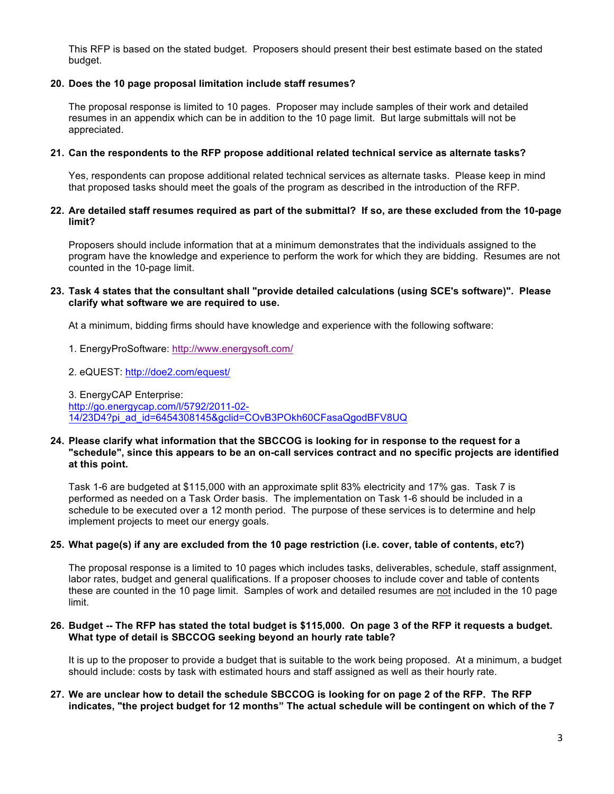This RFP is based on the stated budget. Proposers should present their best estimate based on the stated budget.

# **20. Does the 10 page proposal limitation include staff resumes?**

The proposal response is limited to 10 pages. Proposer may include samples of their work and detailed resumes in an appendix which can be in addition to the 10 page limit. But large submittals will not be appreciated.

# **21. Can the respondents to the RFP propose additional related technical service as alternate tasks?**

Yes, respondents can propose additional related technical services as alternate tasks. Please keep in mind that proposed tasks should meet the goals of the program as described in the introduction of the RFP.

# **22. Are detailed staff resumes required as part of the submittal? If so, are these excluded from the 10-page limit?**

Proposers should include information that at a minimum demonstrates that the individuals assigned to the program have the knowledge and experience to perform the work for which they are bidding. Resumes are not counted in the 10-page limit.

# **23. Task 4 states that the consultant shall "provide detailed calculations (using SCE's software)". Please clarify what software we are required to use.**

At a minimum, bidding firms should have knowledge and experience with the following software:

- 1. EnergyProSoftware: http://www.energysoft.com/
- 2. eQUEST: http://doe2.com/equest/

3. EnergyCAP Enterprise: http://go.energycap.com/l/5792/2011-02- 14/23D4?pi\_ad\_id=6454308145&gclid=COvB3POkh60CFasaQgodBFV8UQ

#### **24. Please clarify what information that the SBCCOG is looking for in response to the request for a "schedule", since this appears to be an on-call services contract and no specific projects are identified at this point.**

Task 1-6 are budgeted at \$115,000 with an approximate split 83% electricity and 17% gas. Task 7 is performed as needed on a Task Order basis. The implementation on Task 1-6 should be included in a schedule to be executed over a 12 month period. The purpose of these services is to determine and help implement projects to meet our energy goals.

### **25. What page(s) if any are excluded from the 10 page restriction (i.e. cover, table of contents, etc?)**

The proposal response is a limited to 10 pages which includes tasks, deliverables, schedule, staff assignment, labor rates, budget and general qualifications. If a proposer chooses to include cover and table of contents these are counted in the 10 page limit. Samples of work and detailed resumes are not included in the 10 page limit.

### **26. Budget -- The RFP has stated the total budget is \$115,000. On page 3 of the RFP it requests a budget. What type of detail is SBCCOG seeking beyond an hourly rate table?**

It is up to the proposer to provide a budget that is suitable to the work being proposed. At a minimum, a budget should include: costs by task with estimated hours and staff assigned as well as their hourly rate.

# **27. We are unclear how to detail the schedule SBCCOG is looking for on page 2 of the RFP. The RFP indicates, "the project budget for 12 months" The actual schedule will be contingent on which of the 7**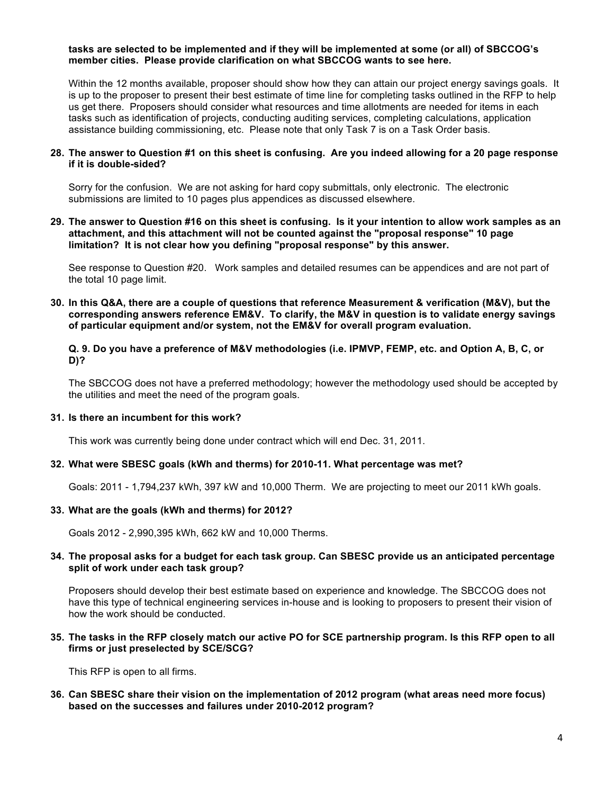#### **tasks are selected to be implemented and if they will be implemented at some (or all) of SBCCOG's member cities. Please provide clarification on what SBCCOG wants to see here.**

Within the 12 months available, proposer should show how they can attain our project energy savings goals. It is up to the proposer to present their best estimate of time line for completing tasks outlined in the RFP to help us get there. Proposers should consider what resources and time allotments are needed for items in each tasks such as identification of projects, conducting auditing services, completing calculations, application assistance building commissioning, etc. Please note that only Task 7 is on a Task Order basis.

#### **28. The answer to Question #1 on this sheet is confusing. Are you indeed allowing for a 20 page response if it is double-sided?**

Sorry for the confusion. We are not asking for hard copy submittals, only electronic. The electronic submissions are limited to 10 pages plus appendices as discussed elsewhere.

**29. The answer to Question #16 on this sheet is confusing. Is it your intention to allow work samples as an attachment, and this attachment will not be counted against the "proposal response" 10 page limitation? It is not clear how you defining "proposal response" by this answer.**

See response to Question #20. Work samples and detailed resumes can be appendices and are not part of the total 10 page limit.

**30. In this Q&A, there are a couple of questions that reference Measurement & verification (M&V), but the corresponding answers reference EM&V. To clarify, the M&V in question is to validate energy savings of particular equipment and/or system, not the EM&V for overall program evaluation.**

### **Q. 9. Do you have a preference of M&V methodologies (i.e. IPMVP, FEMP, etc. and Option A, B, C, or D)?**

The SBCCOG does not have a preferred methodology; however the methodology used should be accepted by the utilities and meet the need of the program goals.

### **31. Is there an incumbent for this work?**

This work was currently being done under contract which will end Dec. 31, 2011.

### **32. What were SBESC goals (kWh and therms) for 2010-11. What percentage was met?**

Goals: 2011 - 1,794,237 kWh, 397 kW and 10,000 Therm. We are projecting to meet our 2011 kWh goals.

### **33. What are the goals (kWh and therms) for 2012?**

Goals 2012 - 2,990,395 kWh, 662 kW and 10,000 Therms.

### **34. The proposal asks for a budget for each task group. Can SBESC provide us an anticipated percentage split of work under each task group?**

Proposers should develop their best estimate based on experience and knowledge. The SBCCOG does not have this type of technical engineering services in-house and is looking to proposers to present their vision of how the work should be conducted.

### **35. The tasks in the RFP closely match our active PO for SCE partnership program. Is this RFP open to all firms or just preselected by SCE/SCG?**

This RFP is open to all firms.

**36. Can SBESC share their vision on the implementation of 2012 program (what areas need more focus) based on the successes and failures under 2010-2012 program?**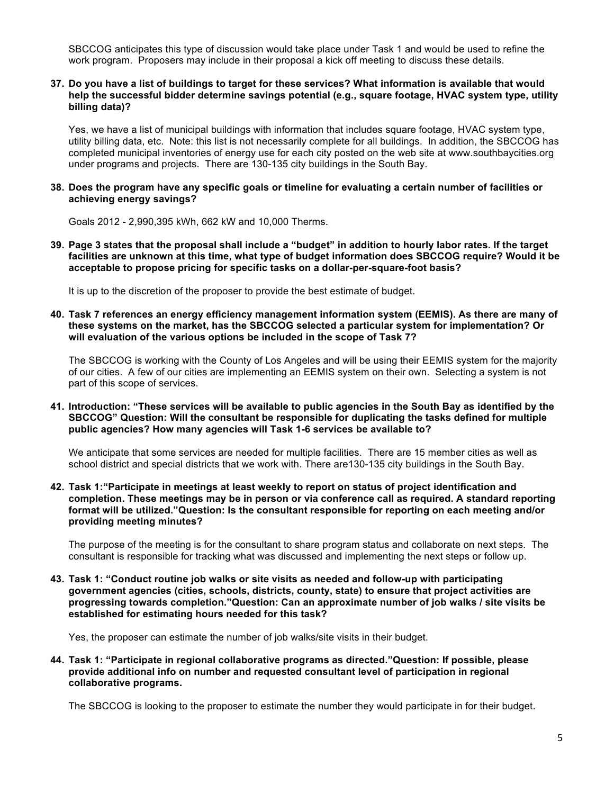SBCCOG anticipates this type of discussion would take place under Task 1 and would be used to refine the work program. Proposers may include in their proposal a kick off meeting to discuss these details.

### **37. Do you have a list of buildings to target for these services? What information is available that would help the successful bidder determine savings potential (e.g., square footage, HVAC system type, utility billing data)?**

Yes, we have a list of municipal buildings with information that includes square footage, HVAC system type, utility billing data, etc. Note: this list is not necessarily complete for all buildings. In addition, the SBCCOG has completed municipal inventories of energy use for each city posted on the web site at www.southbaycities.org under programs and projects. There are 130-135 city buildings in the South Bay.

#### **38. Does the program have any specific goals or timeline for evaluating a certain number of facilities or achieving energy savings?**

Goals 2012 - 2,990,395 kWh, 662 kW and 10,000 Therms.

**39. Page 3 states that the proposal shall include a "budget" in addition to hourly labor rates. If the target facilities are unknown at this time, what type of budget information does SBCCOG require? Would it be acceptable to propose pricing for specific tasks on a dollar-per-square-foot basis?**

It is up to the discretion of the proposer to provide the best estimate of budget.

**40. Task 7 references an energy efficiency management information system (EEMIS). As there are many of these systems on the market, has the SBCCOG selected a particular system for implementation? Or will evaluation of the various options be included in the scope of Task 7?**

The SBCCOG is working with the County of Los Angeles and will be using their EEMIS system for the majority of our cities. A few of our cities are implementing an EEMIS system on their own. Selecting a system is not part of this scope of services.

**41. Introduction: "These services will be available to public agencies in the South Bay as identified by the SBCCOG" Question: Will the consultant be responsible for duplicating the tasks defined for multiple public agencies? How many agencies will Task 1-6 services be available to?**

We anticipate that some services are needed for multiple facilities. There are 15 member cities as well as school district and special districts that we work with. There are130-135 city buildings in the South Bay.

**42. Task 1:"Participate in meetings at least weekly to report on status of project identification and completion. These meetings may be in person or via conference call as required. A standard reporting format will be utilized."Question: Is the consultant responsible for reporting on each meeting and/or providing meeting minutes?**

The purpose of the meeting is for the consultant to share program status and collaborate on next steps. The consultant is responsible for tracking what was discussed and implementing the next steps or follow up.

**43. Task 1: "Conduct routine job walks or site visits as needed and follow-up with participating government agencies (cities, schools, districts, county, state) to ensure that project activities are progressing towards completion."Question: Can an approximate number of job walks / site visits be established for estimating hours needed for this task?**

Yes, the proposer can estimate the number of job walks/site visits in their budget.

**44. Task 1: "Participate in regional collaborative programs as directed."Question: If possible, please provide additional info on number and requested consultant level of participation in regional collaborative programs.**

The SBCCOG is looking to the proposer to estimate the number they would participate in for their budget.